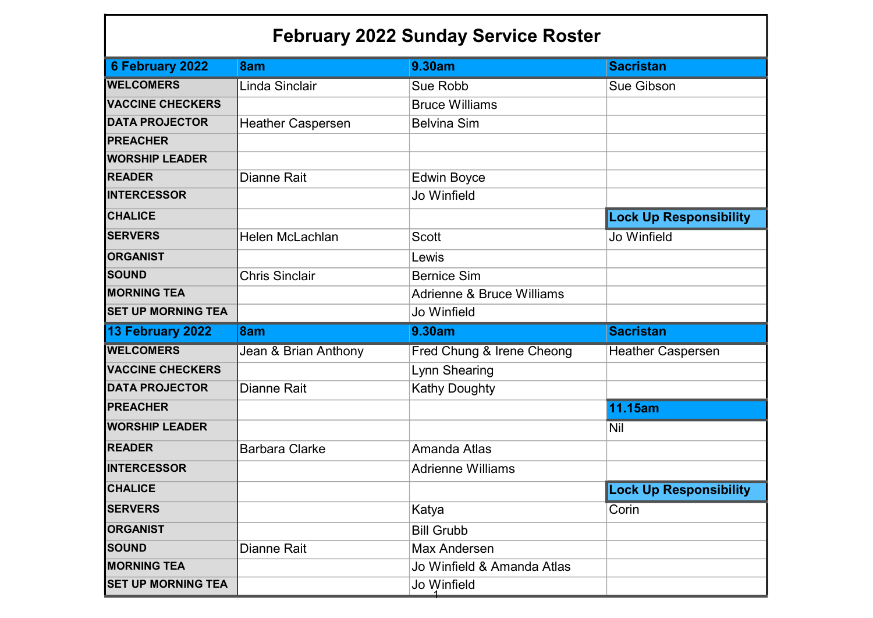## February 2022 Sunday Service Roster

| 6 February 2022           | 8am                      | <b>9.30am</b>                        | <b>Sacristan</b>              |
|---------------------------|--------------------------|--------------------------------------|-------------------------------|
| <b>WELCOMERS</b>          | Linda Sinclair           | <b>Sue Robb</b>                      | <b>Sue Gibson</b>             |
| <b>VACCINE CHECKERS</b>   |                          | <b>Bruce Williams</b>                |                               |
| <b>DATA PROJECTOR</b>     | <b>Heather Caspersen</b> | <b>Belvina Sim</b>                   |                               |
| <b>PREACHER</b>           |                          |                                      |                               |
| <b>WORSHIP LEADER</b>     |                          |                                      |                               |
| <b>READER</b>             | <b>Dianne Rait</b>       | <b>Edwin Boyce</b>                   |                               |
| <b>INTERCESSOR</b>        |                          | Jo Winfield                          |                               |
| <b>CHALICE</b>            |                          |                                      | <b>Lock Up Responsibility</b> |
| <b>SERVERS</b>            | <b>Helen McLachlan</b>   | <b>Scott</b>                         | Jo Winfield                   |
| <b>ORGANIST</b>           |                          | Lewis                                |                               |
| <b>SOUND</b>              | <b>Chris Sinclair</b>    | <b>Bernice Sim</b>                   |                               |
| <b>MORNING TEA</b>        |                          | <b>Adrienne &amp; Bruce Williams</b> |                               |
| <b>SET UP MORNING TEA</b> |                          | Jo Winfield                          |                               |
|                           |                          |                                      |                               |
| 13 February 2022          | 8am                      | 9.30am                               | <b>Sacristan</b>              |
| <b>WELCOMERS</b>          | Jean & Brian Anthony     | Fred Chung & Irene Cheong            | <b>Heather Caspersen</b>      |
| <b>VACCINE CHECKERS</b>   |                          | Lynn Shearing                        |                               |
| <b>DATA PROJECTOR</b>     | <b>Dianne Rait</b>       | <b>Kathy Doughty</b>                 |                               |
| <b>PREACHER</b>           |                          |                                      | 11.15am                       |
| <b>WORSHIP LEADER</b>     |                          |                                      | <b>Nil</b>                    |
| <b>READER</b>             | <b>Barbara Clarke</b>    | Amanda Atlas                         |                               |
| <b>INTERCESSOR</b>        |                          | <b>Adrienne Williams</b>             |                               |
| <b>CHALICE</b>            |                          |                                      | <b>Lock Up Responsibility</b> |
| <b>SERVERS</b>            |                          | Katya                                | Corin                         |
| <b>ORGANIST</b>           |                          | <b>Bill Grubb</b>                    |                               |
| <b>SOUND</b>              | Dianne Rait              | Max Andersen                         |                               |
| <b>MORNING TEA</b>        |                          | Jo Winfield & Amanda Atlas           |                               |